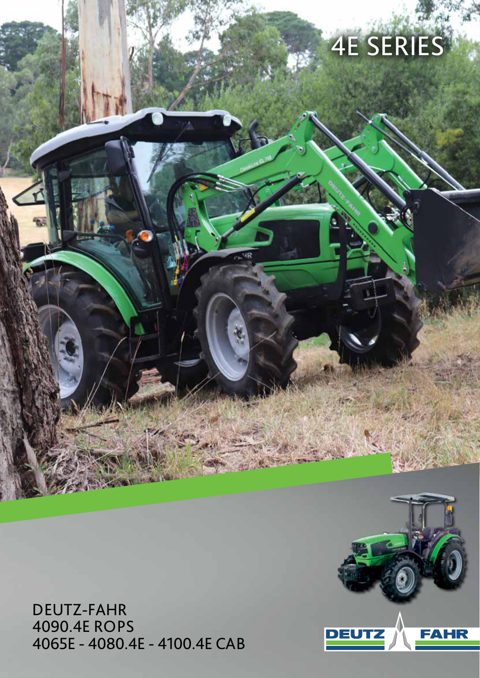# 4E SERIES

DEUTZ-FAHR 4090.4E ROPS 4065E - 4080.4E - 4100.4E CAB

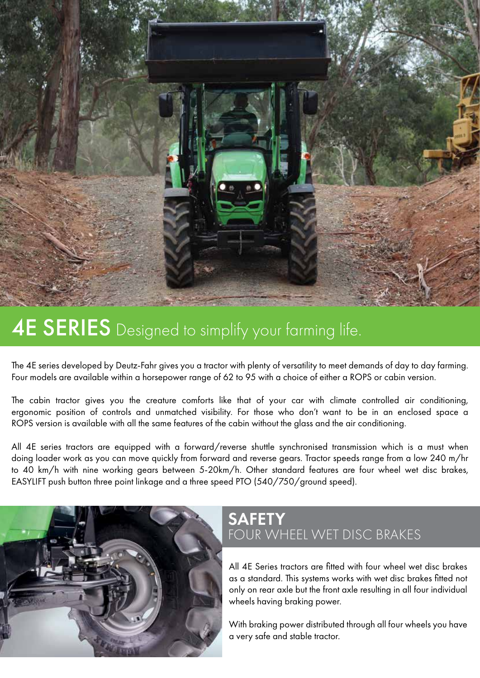

## **4E SERIES** Designed to simplify your farming life.

The 4E series developed by Deutz-Fahr gives you a tractor with plenty of versatility to meet demands of day to day farming. Four models are available within a horsepower range of 62 to 95 with a choice of either a ROPS or cabin version.

The cabin tractor gives you the creature comforts like that of your car with climate controlled air conditioning, ergonomic position of controls and unmatched visibility. For those who don't want to be in an enclosed space a ROPS version is available with all the same features of the cabin without the glass and the air conditioning.

All 4E series tractors are equipped with a forward/reverse shuttle synchronised transmission which is a must when doing loader work as you can move quickly from forward and reverse gears. Tractor speeds range from a low 240 m/hr to 40 km/h with nine working gears between 5-20km/h. Other standard features are four wheel wet disc brakes, EASYLIFT push button three point linkage and a three speed PTO (540/750/ground speed).



#### **SAFETY** FOUR WHEEL WET DISC BRAKES

All 4E Series tractors are fitted with four wheel wet disc brakes as a standard. This systems works with wet disc brakes fitted not only on rear axle but the front axle resulting in all four individual wheels having braking power.

With braking power distributed through all four wheels you have a very safe and stable tractor.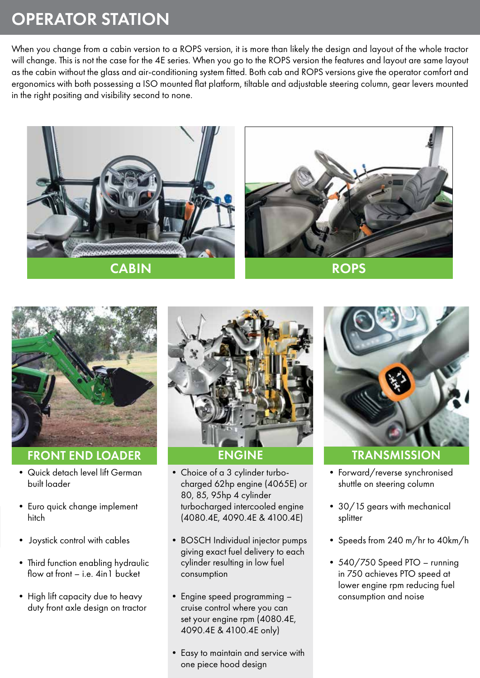### OPERATOR STATION

When you change from a cabin version to a ROPS version, it is more than likely the design and layout of the whole tractor will change. This is not the case for the 4E series. When you go to the ROPS version the features and layout are same layout as the cabin without the glass and air-conditioning system fitted. Both cab and ROPS versions give the operator comfort and ergonomics with both possessing a ISO mounted flat platform, tiltable and adjustable steering column, gear levers mounted in the right positing and visibility second to none.







FRONT END LOADER

- Quick detach level lift German built loader
- Euro quick change implement hitch
- Joystick control with cables
- Third function enabling hydraulic flow at front – i.e. 4in I bucket
- High lift capacity due to heavy duty front axle design on tractor



- Choice of a 3 cylinder turbocharged 62hp engine (4065E) or 80, 85, 95hp 4 cylinder turbocharged intercooled engine (4080.4E, 4090.4E & 4100.4E)
- BOSCH Individual injector pumps giving exact fuel delivery to each cylinder resulting in low fuel consumption
- Engine speed programming cruise control where you can set your engine rpm (4080.4E, 4090.4E & 4100.4E only)
- Easy to maintain and service with one piece hood design



- Forward/reverse synchronised shuttle on steering column
- 30/15 gears with mechanical splitter
- Speeds from 240 m/hr to 40km/h
- 540/750 Speed PTO running in 750 achieves PTO speed at lower engine rpm reducing fuel consumption and noise